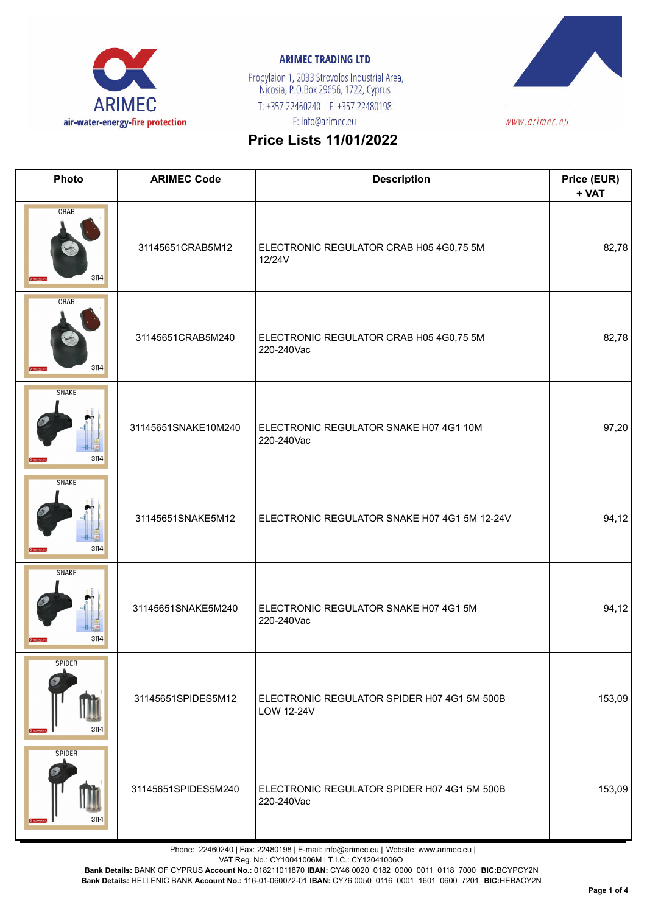

Propylaion 1, 2033 Strovolos Industrial Area,<br>Nicosia, P.O.Box 29656, 1722, Cyprus T: +357 22460240 | F: +357 22480198 E: info@arimec.eu



# **Price Lists 11/01/2022**

| Photo                 | <b>ARIMEC Code</b>  | <b>Description</b>                                        | Price (EUR)<br>+ VAT |
|-----------------------|---------------------|-----------------------------------------------------------|----------------------|
| CRAB<br>3114          | 31145651CRAB5M12    | ELECTRONIC REGULATOR CRAB H05 4G0,75 5M<br>12/24V         | 82,78                |
| CRAB<br>3114          | 31145651CRAB5M240   | ELECTRONIC REGULATOR CRAB H05 4G0,75 5M<br>220-240Vac     | 82,78                |
| <b>SNAKE</b><br>3114  | 31145651SNAKE10M240 | ELECTRONIC REGULATOR SNAKE H07 4G1 10M<br>220-240Vac      | 97,20                |
| <b>SNAKE</b><br>3114  | 31145651SNAKE5M12   | ELECTRONIC REGULATOR SNAKE H07 4G1 5M 12-24V              | 94, 12               |
| <b>SNAKE</b><br>3114  | 31145651SNAKE5M240  | ELECTRONIC REGULATOR SNAKE H07 4G1 5M<br>220-240Vac       | 94, 12               |
| <b>SPIDER</b><br>3114 | 31145651SPIDES5M12  | ELECTRONIC REGULATOR SPIDER H07 4G1 5M 500B<br>LOW 12-24V | 153,09               |
| <b>SPIDER</b><br>3114 | 31145651SPIDES5M240 | ELECTRONIC REGULATOR SPIDER H07 4G1 5M 500B<br>220-240Vac | 153,09               |

Phone: 22460240 | Fax: 22480198 | E-mail: info@arimec.eu | Website: www.arimec.eu |

VAT Reg. No.: CY10041006M | T.I.C.: CY12041006O

**Bank Details:** BANK OF CYPRUS **Account No.:** 018211011870 **IBAN:** CY46 0020 0182 0000 0011 0118 7000 **BIC:**BCYPCY2N

**Bank Details:** HELLENIC BANK **Account No.:** 116-01-060072-01 **IBAN:** CY76 0050 0116 0001 1601 0600 7201 **BIC:**HEBACY2N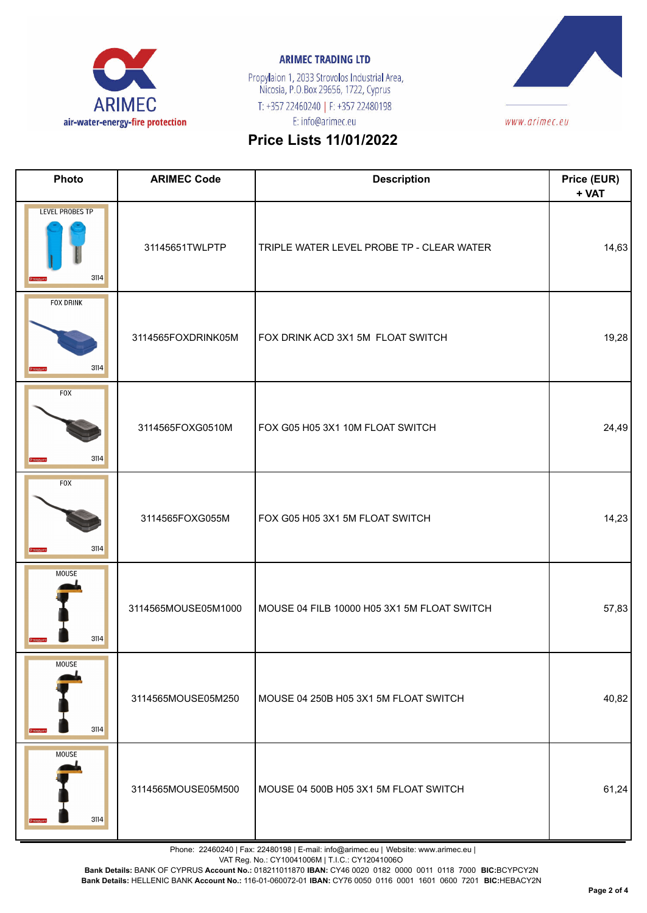

Propylaion 1, 2033 Strovolos Industrial Area,<br>Nicosia, P.O.Box 29656, 1722, Cyprus T: +357 22460240 | F: +357 22480198 E: info@arimec.eu



# **Price Lists 11/01/2022**

| Photo                          | <b>ARIMEC Code</b>  | <b>Description</b>                          | Price (EUR)<br>+ VAT |
|--------------------------------|---------------------|---------------------------------------------|----------------------|
| <b>LEVEL PROBES TP</b><br>3114 | 31145651TWLPTP      | TRIPLE WATER LEVEL PROBE TP - CLEAR WATER   | 14,63                |
| <b>FOX DRINK</b><br>3114       | 3114565FOXDRINK05M  | FOX DRINK ACD 3X1 5M FLOAT SWITCH           | 19,28                |
| <b>FOX</b><br>3114             | 3114565FOXG0510M    | FOX G05 H05 3X1 10M FLOAT SWITCH            | 24,49                |
| <b>FOX</b><br>3114             | 3114565FOXG055M     | FOX G05 H05 3X1 5M FLOAT SWITCH             | 14,23                |
| <b>MOUSE</b><br>3114           | 3114565MOUSE05M1000 | MOUSE 04 FILB 10000 H05 3X1 5M FLOAT SWITCH | 57,83                |
| <b>MOUSE</b><br>3114           | 3114565MOUSE05M250  | MOUSE 04 250B H05 3X1 5M FLOAT SWITCH       | 40,82                |
| <b>MOUSE</b><br>3114           | 3114565MOUSE05M500  | MOUSE 04 500B H05 3X1 5M FLOAT SWITCH       | 61,24                |

Phone: 22460240 | Fax: 22480198 | E-mail: info@arimec.eu | Website: www.arimec.eu |

VAT Reg. No.: CY10041006M | T.I.C.: CY12041006O

**Bank Details:** BANK OF CYPRUS **Account No.:** 018211011870 **IBAN:** CY46 0020 0182 0000 0011 0118 7000 **BIC:**BCYPCY2N

**Bank Details:** HELLENIC BANK **Account No.:** 116-01-060072-01 **IBAN:** CY76 0050 0116 0001 1601 0600 7201 **BIC:**HEBACY2N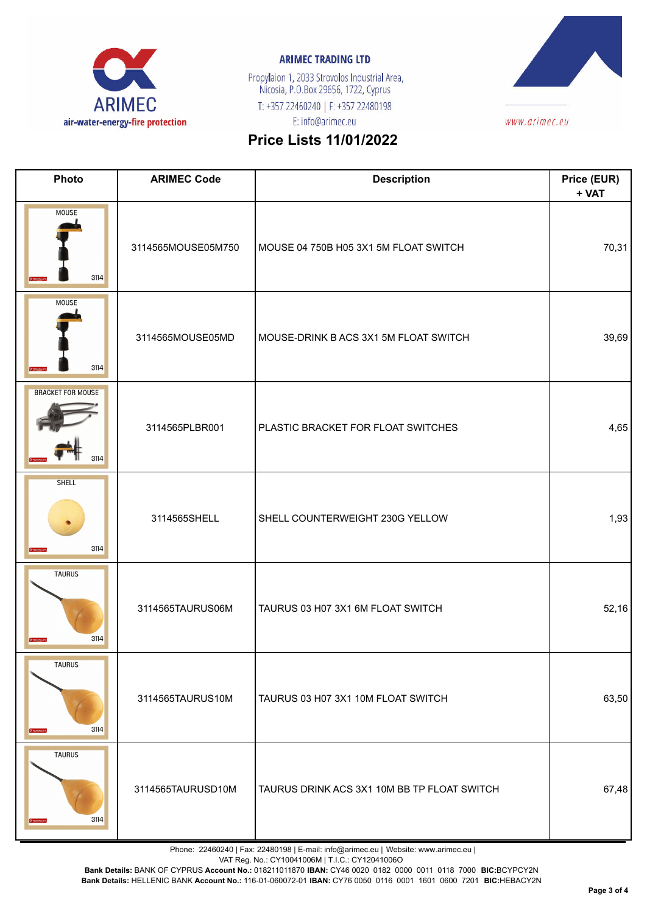

Propylaion 1, 2033 Strovolos Industrial Area,<br>Nicosia, P.O.Box 29656, 1722, Cyprus T: +357 22460240 | F: +357 22480198 E: info@arimec.eu



# **Price Lists 11/01/2022**

| Photo                            | <b>ARIMEC Code</b> | <b>Description</b>                          | Price (EUR)<br>+ VAT |
|----------------------------------|--------------------|---------------------------------------------|----------------------|
| <b>MOUSE</b><br>3114             | 3114565MOUSE05M750 | MOUSE 04 750B H05 3X1 5M FLOAT SWITCH       | 70,31                |
| <b>MOUSE</b><br>3114             | 3114565MOUSE05MD   | MOUSE-DRINK B ACS 3X1 5M FLOAT SWITCH       | 39,69                |
| <b>BRACKET FOR MOUSE</b><br>3114 | 3114565PLBR001     | PLASTIC BRACKET FOR FLOAT SWITCHES          | 4,65                 |
| <b>SHELL</b><br>3114             | 3114565SHELL       | SHELL COUNTERWEIGHT 230G YELLOW             | 1,93                 |
| <b>TAURUS</b><br>3114            | 3114565TAURUS06M   | TAURUS 03 H07 3X1 6M FLOAT SWITCH           | 52,16                |
| <b>TAURUS</b><br>3114            | 3114565TAURUS10M   | TAURUS 03 H07 3X1 10M FLOAT SWITCH          | 63,50                |
| <b>TAURUS</b><br>3114            | 3114565TAURUSD10M  | TAURUS DRINK ACS 3X1 10M BB TP FLOAT SWITCH | 67,48                |

Phone: 22460240 | Fax: 22480198 | E-mail: info@arimec.eu | Website: www.arimec.eu |

VAT Reg. No.: CY10041006M | T.I.C.: CY12041006O

**Bank Details:** BANK OF CYPRUS **Account No.:** 018211011870 **IBAN:** CY46 0020 0182 0000 0011 0118 7000 **BIC:**BCYPCY2N

**Bank Details:** HELLENIC BANK **Account No.:** 116-01-060072-01 **IBAN:** CY76 0050 0116 0001 1601 0600 7201 **BIC:**HEBACY2N